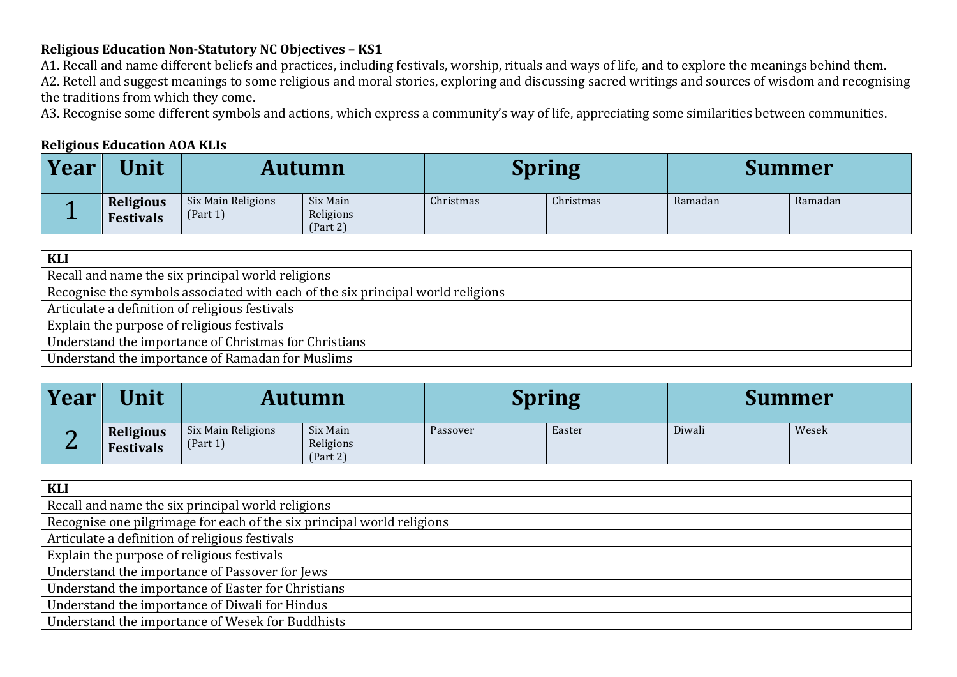## **Religious Education Non-Statutory NC Objectives – KS1**

A1. Recall and name different beliefs and practices, including festivals, worship, rituals and ways of life, and to explore the meanings behind them. A2. Retell and suggest meanings to some religious and moral stories, exploring and discussing sacred writings and sources of wisdom and recognising the traditions from which they come.

A3. Recognise some different symbols and actions, which express a community's way of life, appreciating some similarities between communities.

## **Religious Education AOA KLIs**

| <b>Year</b> | <b><i><u>Unit</u></i></b>     | Autumn                         |                                   | <b>Spring</b> |           | Summer  |         |
|-------------|-------------------------------|--------------------------------|-----------------------------------|---------------|-----------|---------|---------|
| --          | <b>Religious</b><br>Festivals | Six Main Religions<br>(Part 1) | Six Main<br>Religions<br>(Part 2) | Christmas     | Christmas | Ramadan | Ramadan |

| KLI                                                                             |
|---------------------------------------------------------------------------------|
| Recall and name the six principal world religions                               |
| Recognise the symbols associated with each of the six principal world religions |
| Articulate a definition of religious festivals                                  |
| Explain the purpose of religious festivals                                      |
| Understand the importance of Christmas for Christians                           |
| Understand the importance of Ramadan for Muslims                                |

| Year | Unit                                 | <b>Autumn</b>                  |                                   | <b>Spring</b> |        | Summer |       |
|------|--------------------------------------|--------------------------------|-----------------------------------|---------------|--------|--------|-------|
| _    | <b>Religious</b><br><b>Festivals</b> | Six Main Religions<br>(Part 1) | Six Main<br>Religions<br>(Part 2) | Passover      | Easter | Diwali | Wesek |

| <b>KLI</b>                                                             |
|------------------------------------------------------------------------|
| Recall and name the six principal world religions                      |
| Recognise one pilgrimage for each of the six principal world religions |
| Articulate a definition of religious festivals                         |
| Explain the purpose of religious festivals                             |
| Understand the importance of Passover for Jews                         |
| Understand the importance of Easter for Christians                     |
| Understand the importance of Diwali for Hindus                         |
| Understand the importance of Wesek for Buddhists                       |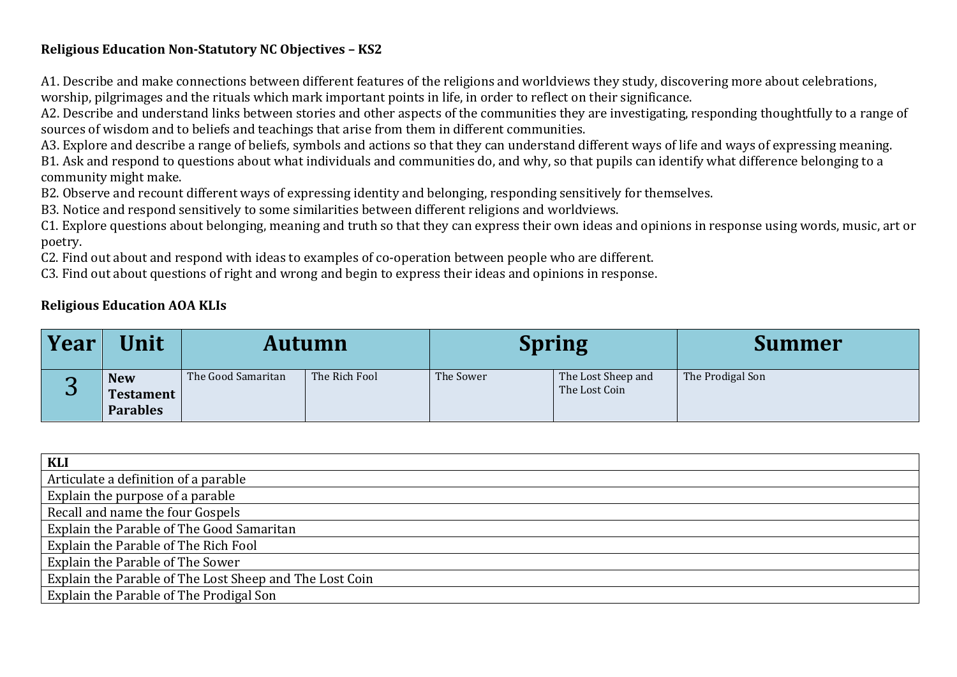## **Religious Education Non-Statutory NC Objectives – KS2**

A1. Describe and make connections between different features of the religions and worldviews they study, discovering more about celebrations, worship, pilgrimages and the rituals which mark important points in life, in order to reflect on their significance.

A2. Describe and understand links between stories and other aspects of the communities they are investigating, responding thoughtfully to a range of sources of wisdom and to beliefs and teachings that arise from them in different communities.

A3. Explore and describe a range of beliefs, symbols and actions so that they can understand different ways of life and ways of expressing meaning. B1. Ask and respond to questions about what individuals and communities do, and why, so that pupils can identify what difference belonging to a

community might make.

B2. Observe and recount different ways of expressing identity and belonging, responding sensitively for themselves.

B3. Notice and respond sensitively to some similarities between different religions and worldviews.

C1. Explore questions about belonging, meaning and truth so that they can express their own ideas and opinions in response using words, music, art or poetry.

C2. Find out about and respond with ideas to examples of co-operation between people who are different.

C3. Find out about questions of right and wrong and begin to express their ideas and opinions in response.

## **Religious Education AOA KLIs**

| Year | Unit                                              |                    | Autumn        | <b>Spring</b> |                                     | <b>Summer</b>    |
|------|---------------------------------------------------|--------------------|---------------|---------------|-------------------------------------|------------------|
| U    | <b>New</b><br><b>Testament</b><br><b>Parables</b> | The Good Samaritan | The Rich Fool | The Sower     | The Lost Sheep and<br>The Lost Coin | The Prodigal Son |

| <b>KLI</b>                                              |
|---------------------------------------------------------|
| Articulate a definition of a parable                    |
| Explain the purpose of a parable                        |
| Recall and name the four Gospels                        |
| Explain the Parable of The Good Samaritan               |
| Explain the Parable of The Rich Fool                    |
| Explain the Parable of The Sower                        |
| Explain the Parable of The Lost Sheep and The Lost Coin |
| Explain the Parable of The Prodigal Son                 |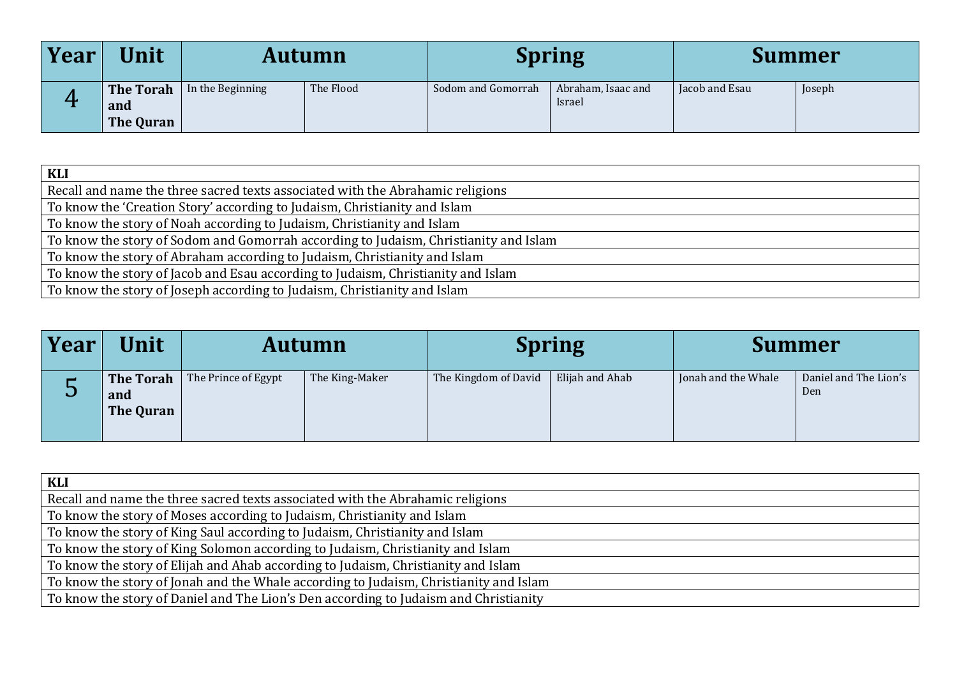| <b>Year</b> | Unit                                 | <b>Autumn</b>    |           | <b>Spring</b>      |                              | Summer         |        |
|-------------|--------------------------------------|------------------|-----------|--------------------|------------------------------|----------------|--------|
| Δ.          | <b>The Torah</b><br>and<br>The Quran | In the Beginning | The Flood | Sodom and Gomorrah | Abraham, Isaac and<br>Israel | Jacob and Esau | Joseph |

| <b>KLI</b>                                                                           |
|--------------------------------------------------------------------------------------|
| Recall and name the three sacred texts associated with the Abrahamic religions       |
| To know the 'Creation Story' according to Judaism, Christianity and Islam            |
| To know the story of Noah according to Judaism, Christianity and Islam               |
| To know the story of Sodom and Gomorrah according to Judaism, Christianity and Islam |
| To know the story of Abraham according to Judaism, Christianity and Islam            |
| To know the story of Jacob and Esau according to Judaism, Christianity and Islam     |
| To know the story of Joseph according to Judaism, Christianity and Islam             |

| Year | Unit                                 |                     | <b>Autumn</b>  |                      | <b>Spring</b>   | <b>Summer</b>       |                              |
|------|--------------------------------------|---------------------|----------------|----------------------|-----------------|---------------------|------------------------------|
| ◡    | <b>The Torah</b><br>and<br>The Quran | The Prince of Egypt | The King-Maker | The Kingdom of David | Elijah and Ahab | Jonah and the Whale | Daniel and The Lion's<br>Den |

| KLI                                                                                   |
|---------------------------------------------------------------------------------------|
| Recall and name the three sacred texts associated with the Abrahamic religions        |
| To know the story of Moses according to Judaism, Christianity and Islam               |
| To know the story of King Saul according to Judaism, Christianity and Islam           |
| To know the story of King Solomon according to Judaism, Christianity and Islam        |
| To know the story of Elijah and Ahab according to Judaism, Christianity and Islam     |
| To know the story of Jonah and the Whale according to Judaism, Christianity and Islam |
| To know the story of Daniel and The Lion's Den according to Judaism and Christianity  |